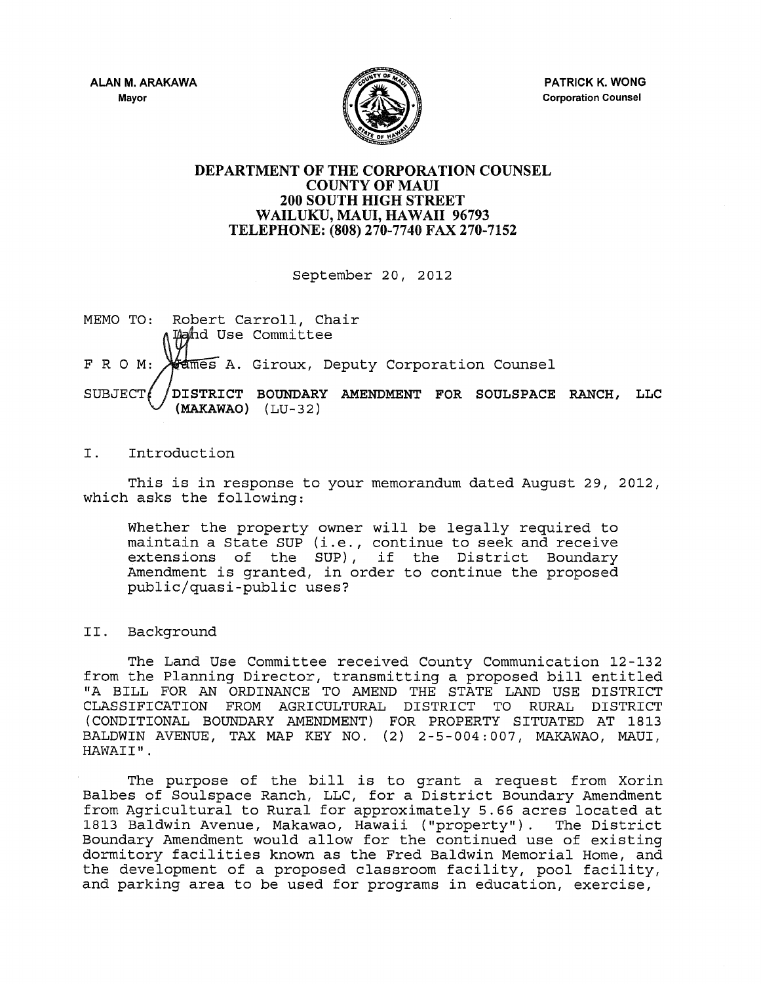ALAN M. ARAKAWA Mayor



PATRICK K. WONG Corporation Counsel

## DEPARTMENT OF THE CORPORATION COUNSEL COUNTY OF MAUl 200 SOUTH HIGH STREET WAILUKU, MAUI, HAWAII 96793 TELEPHONE: (808) 270-7740 FAX 270-7152

September 20, 2012

MEMO TO: Robert Carroll, Chair Mahd Use Committee FROM: Ames A. Giroux, Deputy Corporation Counsel DISTRICT BOUNDARY AMENDMENT FOR SOULSPACE RANCH, LLC SUBJECT  $(MAKAWAO)$   $(LU-32)$ 

I. Introduction

This is in response to your memorandum dated August 29, 2012, which asks the following:

Whether the property owner will be legally required to maintain a State SUP (i.e., continue to seek and receive extensions of the SUP), if the District Boundary Amendment is granted, in order to continue the proposed public/quasi-public uses?

II. Background

The Land Use Committee received County Communication 12-132 from the Planning Director, transmitting a proposed bill entitled "A BILL FOR AN ORDINANCE TO AMEND THE STATE LAND USE DISTRICT CLASSIFICATION FROM AGRICULTURAL DISTRICT TO RURAL DISTRICT (CONDITIONAL BOUNDARY AMENDMENT) FOR PROPERTY SITUATED AT 1813 BALDWIN AVENUE, TAX MAP KEY NO. (2) 2-5-004:007, MAKAWAO, MAUI, HAWAII".

The purpose of the bill is to grant a request from Xorin Balbes of Soulspace Ranch, LLC, for a District Boundary Amendment from Agricultural to Rural for approximately 5.66 acres located at 1813 Baldwin Avenue, Makawao, Hawaii ("property"). The District Boundary Amendment would allow for the continued use of existing dormitory facilities known as the Fred Baldwin Memorial Home, and the development of a proposed classroom facility, pool facility, and parking area to be used for programs in education, exercise,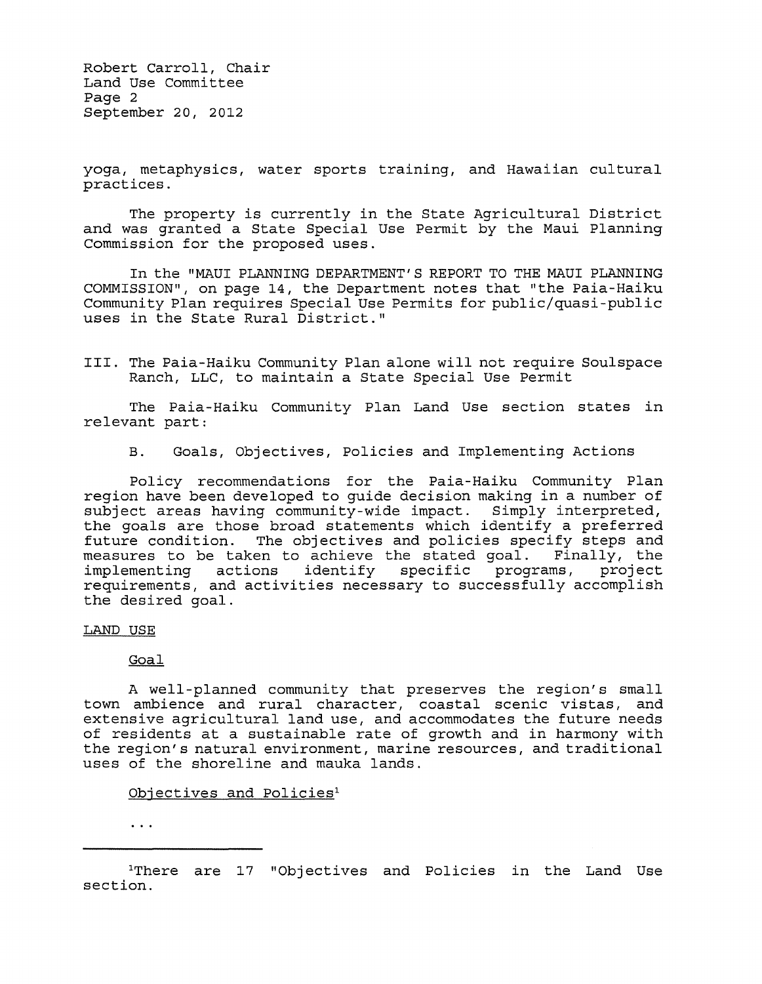Robert Carroll, Chair Land Use Committee Page 2 September 20, 2012

yoga, metaphysics, water sports training, and Hawaiian cultural practices.

The property is currently in the State Agricultural District and was granted a State Special Use Permit by the Maui Planning Commission for the proposed uses.

In the "MAUI PLANNING DEPARTMENT'S REPORT TO THE MAUI PLANNING COMMISSION", on page 14, the Department notes that "the Paia-Haiku Community Plan requires Special Use Permits for public/quasi-public uses in the State Rural District."

III. The Paia-Haiku Community Plan alone will not require Soulspace Ranch, LLC, to maintain a State Special Use Permit

The Paia-Haiku Community Plan Land Use section states in relevant part:

B. Goals, Objectives, Policies and Implementing Actions

Policy recommendations for the Paia-Haiku Community Plan region have been developed to guide decision making in a number of subject areas having community-wide impact. Simply interpreted, the goals are those broad statements which identify a preferred future condition. The objectives and policies specify steps and measures to be taken to achieve the stated goal. Finally, the implementing actions identify specific programs, project implementing actions identify specific rmprementing actions ruentify specific programs, project<br>requirements, and activities necessary to successfully accomplish the desired goal.

## LAND USE

## $Goal$

A well-planned community that preserves the region's small town ambience and rural character, coastal scenic vistas, and extensive agricultural land use, and accommodates the future needs of residents at a sustainable rate of growth and in harmony with the region's natural environment, marine resources, and traditional uses of the shoreline and mauka lands.

## Objectives and Policies<sup>1</sup>

 $\bullet$  ,  $\bullet$  ,  $\bullet$  .

<sup>1</sup>There are 17 "Objectives and Policies in the Land Use section.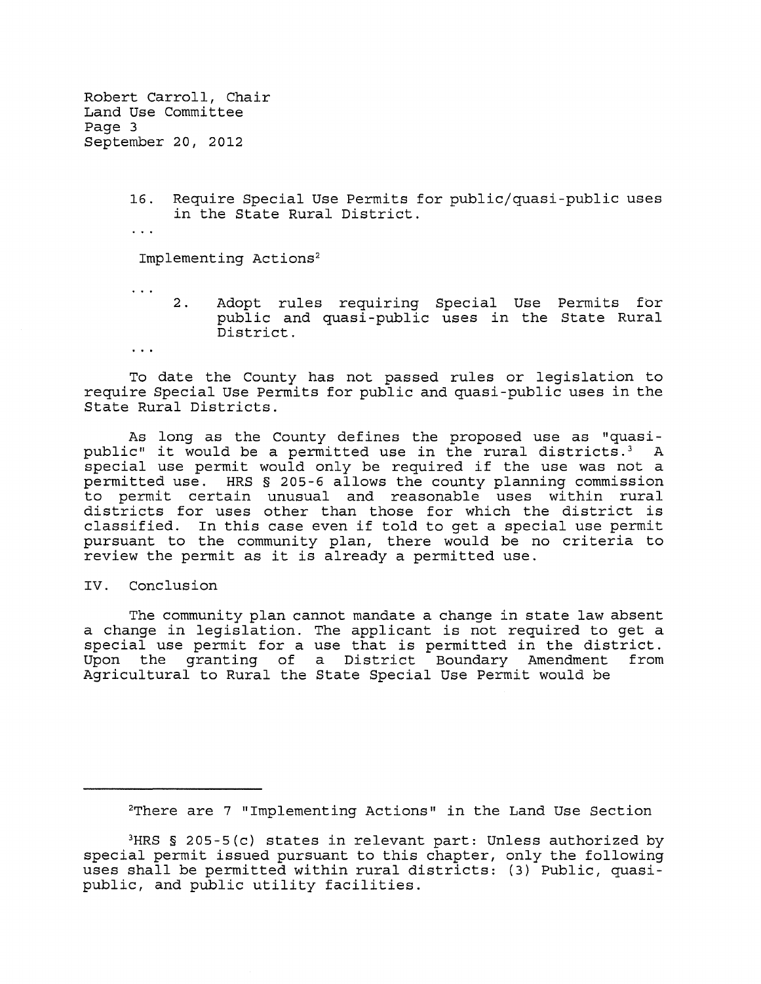Robert Carroll, Chair Land Use Committee Page 3 September 20, 2012

> 16. Require Special Use Permits for public/quasi-public uses in the State Rural District.

 $\ddotsc$ 

 $\sim$   $\sim$   $\sim$ 

Implementing Actions<sup>2</sup>

 $\bullet$  ,  $\bullet$  ,  $\bullet$ 2. Adopt rules requiring Special Use Permits for public and quasi-public uses in the State Rural District.

To date the County has not passed rules or legislation to require Special Use Permits for public and quasi-public uses in the State Rural Districts.

As long as the County defines the proposed use as "quasipublic" it would be a permitted use in the rural districts.<sup>3</sup> A special use permit would only be required if the use was not a permitted use. HRS § 205-6 allows the county planning commission to permit certain unusual and reasonable uses within rural districts for uses other than those for which the district is classified. In this case even if told to get a special use permit pursuant to the community plan, there would be no criteria to review the permit as it is already a permitted use.

IV. Conclusion

The community plan cannot mandate a change in state law absent a change in legislation. The applicant is not required to get a special use permit for a use that is permitted in the district. Upon the granting of a District Boundary Amendment Agricultural to Rural the State Special Use Permit would be

2There are 7 "Implementing Actions" in the Land Use Section

<sup>3</sup>HRS § 205-5(c) states in relevant part: Unless authorized by special permit issued pursuant to this chapter, only the following uses shall be permitted within rural districts: (3) Public, quasipublic, and public utility facilities.